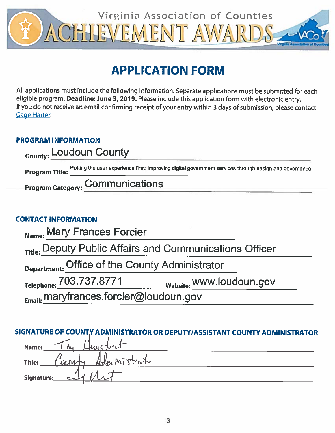

# **APPLICATION FORM**

All applications must include the following information. Separate applications must be submitted for each eligible program. Deadline: June 3, 2019. Please include this application form with electronic entry. If you do not receive an email confirming receipt of your entry within 3 days of submission, please contact **Gage Harter.** 

# **PROGRAM INFORMATION**

| <sub>County:</sub> Loudoun County |                                                                                                        |  |
|-----------------------------------|--------------------------------------------------------------------------------------------------------|--|
| <b>Program Title:</b>             | Putting the user experience first: Improving digital government services through design and governance |  |
|                                   | <b>Program Category: COMMUNICATIONS</b>                                                                |  |

# **CONTACT INFORMATION**

| Name: Mary Frances Forcier                                         |                          |  |  |  |
|--------------------------------------------------------------------|--------------------------|--|--|--|
| <sub>Title:</sub> Deputy Public Affairs and Communications Officer |                          |  |  |  |
| Department: Office of the County Administrator                     |                          |  |  |  |
| Telephone: 703.737.8771                                            | Website: WWW.loudoun.gov |  |  |  |
| Email: maryfrances.forcier@loudoun.gov                             |                          |  |  |  |

# SIGNATURE OF COUNTY ADMINISTRATOR OR DEPUTY/ASSISTANT COUNTY ADMINISTRATOR

| $\rightarrow$<br>unctrut<br>Name:<br>IW |
|-----------------------------------------|
| Title:<br>Administrat<br>earnly         |
| Signature:                              |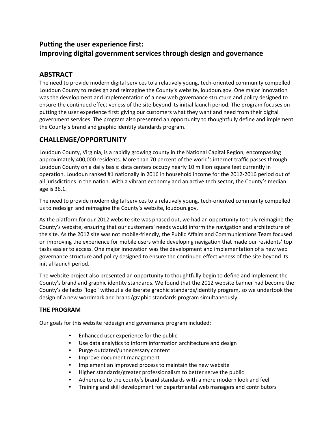# **Putting the user experience first: Improving digital government services through design and governance**

# **ABSTRACT**

The need to provide modern digital services to a relatively young, tech-oriented community compelled Loudoun County to redesign and reimagine the County's website, loudoun.gov. One major innovation was the development and implementation of a new web governance structure and policy designed to ensure the continued effectiveness of the site beyond its initial launch period. The program focuses on putting the user experience first: giving our customers what they want and need from their digital government services. The program also presented an opportunity to thoughtfully define and implement the County's brand and graphic identity standards program.

# **CHALLENGE/OPPORTUNITY**

Loudoun County, Virginia, is a rapidly growing county in the National Capital Region, encompassing approximately 400,000 residents. More than 70 percent of the world's internet traffic passes through Loudoun County on a daily basis: data centers occupy nearly 10 million square feet currently in operation. Loudoun ranked #1 nationally in 2016 in household income for the 2012-2016 period out of all jurisdictions in the nation. With a vibrant economy and an active tech sector, the County's median age is 36.1.

The need to provide modern digital services to a relatively young, tech-oriented community compelled us to redesign and reimagine the County's website, loudoun.gov.

As the platform for our 2012 website site was phased out, we had an opportunity to truly reimagine the County's website, ensuring that our customers' needs would inform the navigation and architecture of the site. As the 2012 site was not mobile-friendly, the Public Affairs and Communications Team focused on improving the experience for mobile users while developing navigation that made our residents' top tasks easier to access. One major innovation was the development and implementation of a new web governance structure and policy designed to ensure the continued effectiveness of the site beyond its initial launch period.

The website project also presented an opportunity to thoughtfully begin to define and implement the County's brand and graphic identity standards. We found that the 2012 website banner had become the County's de facto "logo" without a deliberate graphic standards/identity program, so we undertook the design of a new wordmark and brand/graphic standards program simultaneously.

### **THE PROGRAM**

Our goals for this website redesign and governance program included:

- Enhanced user experience for the public
- Use data analytics to inform information architecture and design
- Purge outdated/unnecessary content
- Improve document management
- Implement an improved process to maintain the new website
- Higher standards/greater professionalism to better serve the public
- Adherence to the county's brand standards with a more modern look and feel
- Training and skill development for departmental web managers and contributors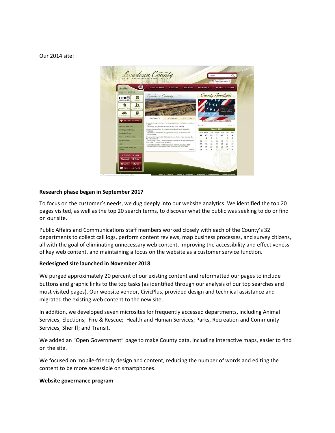Our 2014 site:



#### **Research phase began in September 2017**

To focus on the customer's needs, we dug deeply into our website analytics. We identified the top 20 pages visited, as well as the top 20 search terms, to discover what the public was seeking to do or find on our site.

Public Affairs and Communications staff members worked closely with each of the County's 32 departments to collect call logs, perform content reviews, map business processes, and survey citizens, all with the goal of eliminating unnecessary web content, improving the accessibility and effectiveness of key web content, and maintaining a focus on the website as a customer service function.

#### **Redesigned site launched in November 2018**

We purged approximately 20 percent of our existing content and reformatted our pages to include buttons and graphic links to the top tasks (as identified through our analysis of our top searches and most visited pages). Our website vendor, CivicPlus, provided design and technical assistance and migrated the existing web content to the new site.

In addition, we developed seven microsites for frequently accessed departments, including Animal Services; Elections; Fire & Rescue; Health and Human Services; Parks, Recreation and Community Services; Sheriff; and Transit.

We added an "Open Government" page to make County data, including interactive maps, easier to find on the site.

We focused on mobile-friendly design and content, reducing the number of words and editing the content to be more accessible on smartphones.

#### **Website governance program**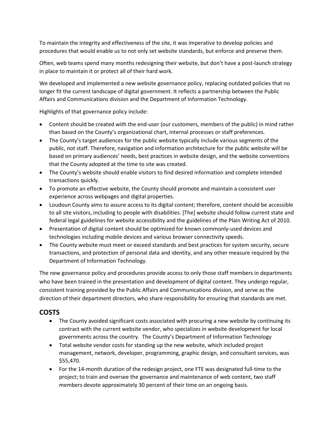To maintain the integrity and effectiveness of the site, it was imperative to develop policies and procedures that would enable us to not only set website standards, but enforce and preserve them.

Often, web teams spend many months redesigning their website, but don't have a post-launch strategy in place to maintain it or protect all of their hard work.

We developed and implemented a new website governance policy, replacing outdated policies that no longer fit the current landscape of digital government. It reflects a partnership between the Public Affairs and Communications division and the Department of Information Technology.

Highlights of that governance policy include:

- Content should be created with the end-user (our customers, members of the public) in mind rather than based on the County's organizational chart, internal processes or staff preferences.
- The County's target audiences for the public website typically include various segments of the public, not staff. Therefore, navigation and information architecture for the public website will be based on primary audiences' needs, best practices in website design, and the website conventions that the County adopted at the time to site was created.
- The County's website should enable visitors to find desired information and complete intended transactions quickly.
- To promote an effective website, the County should promote and maintain a consistent user experience across webpages and digital properties.
- Loudoun County aims to assure access to its digital content; therefore, content should be accessible to all site visitors, including to people with disabilities. [The] website should follow current state and federal legal guidelines for website accessibility and the guidelines of the Plain Writing Act of 2010.
- Presentation of digital content should be optimized for known commonly-used devices and technologies including mobile devices and various browser connectivity speeds.
- The County website must meet or exceed standards and best practices for system security, secure transactions, and protection of personal data and identity, and any other measure required by the Department of Information Technology.

The new governance policy and procedures provide access to only those staff members in departments who have been trained in the presentation and development of digital content. They undergo regular, consistent training provided by the Public Affairs and Communications division, and serve as the direction of their department directors, who share responsibility for ensuring that standards are met.

# **COSTS**

- The County avoided significant costs associated with procuring a new website by continuing its contract with the current website vendor, who specializes in website development for local governments across the country. The County's Department of Information Technology
- Total website vendor costs for standing up the new website, which included project management, network, developer, programming, graphic design, and consultant services, was \$55,470.
- For the 14-month duration of the redesign project, one FTE was designated full-time to the project; to train and oversee the governance and maintenance of web content, two staff members devote approximately 30 percent of their time on an ongoing basis.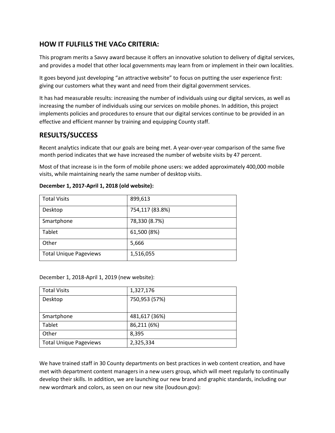### **HOW IT FULFILLS THE VACo CRITERIA:**

This program merits a Savvy award because it offers an innovative solution to delivery of digital services, and provides a model that other local governments may learn from or implement in their own localities.

It goes beyond just developing "an attractive website" to focus on putting the user experience first: giving our customers what they want and need from their digital government services.

It has had measurable results: increasing the number of individuals using our digital services, as well as increasing the number of individuals using our services on mobile phones. In addition, this project implements policies and procedures to ensure that our digital services continue to be provided in an effective and efficient manner by training and equipping County staff.

### **RESULTS/SUCCESS**

Recent analytics indicate that our goals are being met. A year-over-year comparison of the same five month period indicates that we have increased the number of website visits by 47 percent.

Most of that increase is in the form of mobile phone users: we added approximately 400,000 mobile visits, while maintaining nearly the same number of desktop visits.

| <b>Total Visits</b>           | 899,613         |
|-------------------------------|-----------------|
| Desktop                       | 754,117 (83.8%) |
| Smartphone                    | 78,330 (8.7%)   |
| Tablet                        | 61,500 (8%)     |
| Other                         | 5,666           |
| <b>Total Unique Pageviews</b> | 1,516,055       |

#### **December 1, 2017-April 1, 2018 (old website):**

December 1, 2018-April 1, 2019 (new website):

| <b>Total Visits</b>           | 1,327,176     |
|-------------------------------|---------------|
| Desktop                       | 750,953 (57%) |
|                               |               |
| Smartphone                    | 481,617 (36%) |
| Tablet                        | 86,211 (6%)   |
| Other                         | 8,395         |
| <b>Total Unique Pageviews</b> | 2,325,334     |

We have trained staff in 30 County departments on best practices in web content creation, and have met with department content managers in a new users group, which will meet regularly to continually develop their skills. In addition, we are launching our new brand and graphic standards, including our new wordmark and colors, as seen on our new site (loudoun.gov):